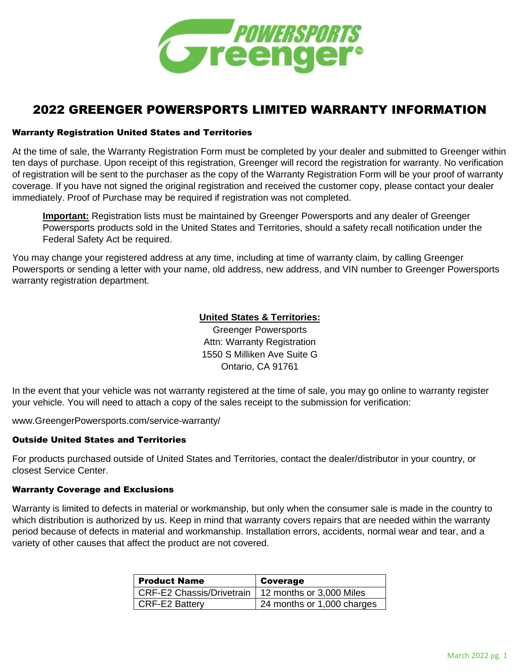

# 2022 GREENGER POWERSPORTS LIMITED WARRANTY INFORMATION

#### Warranty Registration United States and Territories

At the time of sale, the Warranty Registration Form must be completed by your dealer and submitted to Greenger within ten days of purchase. Upon receipt of this registration, Greenger will record the registration for warranty. No verification of registration will be sent to the purchaser as the copy of the Warranty Registration Form will be your proof of warranty coverage. If you have not signed the original registration and received the customer copy, please contact your dealer immediately. Proof of Purchase may be required if registration was not completed.

**Important:** Registration lists must be maintained by Greenger Powersports and any dealer of Greenger Powersports products sold in the United States and Territories, should a safety recall notification under the Federal Safety Act be required.

You may change your registered address at any time, including at time of warranty claim, by calling Greenger Powersports or sending a letter with your name, old address, new address, and VIN number to Greenger Powersports warranty registration department.

# **United States & Territories:**

Greenger Powersports Attn: Warranty Registration 1550 S Milliken Ave Suite G Ontario, CA 91761

In the event that your vehicle was not warranty registered at the time of sale, you may go online to warranty register your vehicle. You will need to attach a copy of the sales receipt to the submission for verification:

www.GreengerPowersports.com/service-warranty/

# Outside United States and Territories

For products purchased outside of United States and Territories, contact the dealer/distributor in your country, or closest Service Center.

#### Warranty Coverage and Exclusions

Warranty is limited to defects in material or workmanship, but only when the consumer sale is made in the country to which distribution is authorized by us. Keep in mind that warranty covers repairs that are needed within the warranty period because of defects in material and workmanship. Installation errors, accidents, normal wear and tear, and a variety of other causes that affect the product are not covered.

| <b>Product Name</b>              | Coverage                   |
|----------------------------------|----------------------------|
| <b>CRF-E2 Chassis/Drivetrain</b> | 12 months or 3,000 Miles   |
| <b>CRF-E2 Battery</b>            | 24 months or 1,000 charges |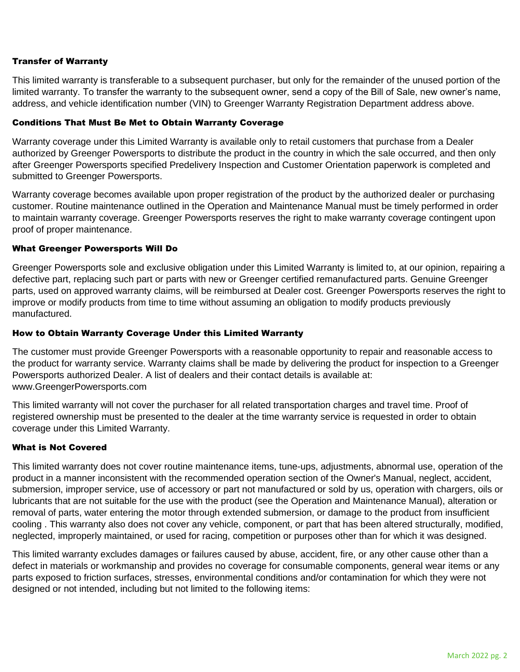### Transfer of Warranty

This limited warranty is transferable to a subsequent purchaser, but only for the remainder of the unused portion of the limited warranty. To transfer the warranty to the subsequent owner, send a copy of the Bill of Sale, new owner's name, address, and vehicle identification number (VIN) to Greenger Warranty Registration Department address above.

#### Conditions That Must Be Met to Obtain Warranty Coverage

Warranty coverage under this Limited Warranty is available only to retail customers that purchase from a Dealer authorized by Greenger Powersports to distribute the product in the country in which the sale occurred, and then only after Greenger Powersports specified Predelivery Inspection and Customer Orientation paperwork is completed and submitted to Greenger Powersports.

Warranty coverage becomes available upon proper registration of the product by the authorized dealer or purchasing customer. Routine maintenance outlined in the Operation and Maintenance Manual must be timely performed in order to maintain warranty coverage. Greenger Powersports reserves the right to make warranty coverage contingent upon proof of proper maintenance.

#### What Greenger Powersports Will Do

Greenger Powersports sole and exclusive obligation under this Limited Warranty is limited to, at our opinion, repairing a defective part, replacing such part or parts with new or Greenger certified remanufactured parts. Genuine Greenger parts, used on approved warranty claims, will be reimbursed at Dealer cost. Greenger Powersports reserves the right to improve or modify products from time to time without assuming an obligation to modify products previously manufactured.

#### How to Obtain Warranty Coverage Under this Limited Warranty

The customer must provide Greenger Powersports with a reasonable opportunity to repair and reasonable access to the product for warranty service. Warranty claims shall be made by delivering the product for inspection to a Greenger Powersports authorized Dealer. A list of dealers and their contact details is available at: www.GreengerPowersports.com

This limited warranty will not cover the purchaser for all related transportation charges and travel time. Proof of registered ownership must be presented to the dealer at the time warranty service is requested in order to obtain coverage under this Limited Warranty.

# What is Not Covered

This limited warranty does not cover routine maintenance items, tune-ups, adjustments, abnormal use, operation of the product in a manner inconsistent with the recommended operation section of the Owner's Manual, neglect, accident, submersion, improper service, use of accessory or part not manufactured or sold by us, operation with chargers, oils or lubricants that are not suitable for the use with the product (see the Operation and Maintenance Manual), alteration or removal of parts, water entering the motor through extended submersion, or damage to the product from insufficient cooling . This warranty also does not cover any vehicle, component, or part that has been altered structurally, modified, neglected, improperly maintained, or used for racing, competition or purposes other than for which it was designed.

This limited warranty excludes damages or failures caused by abuse, accident, fire, or any other cause other than a defect in materials or workmanship and provides no coverage for consumable components, general wear items or any parts exposed to friction surfaces, stresses, environmental conditions and/or contamination for which they were not designed or not intended, including but not limited to the following items: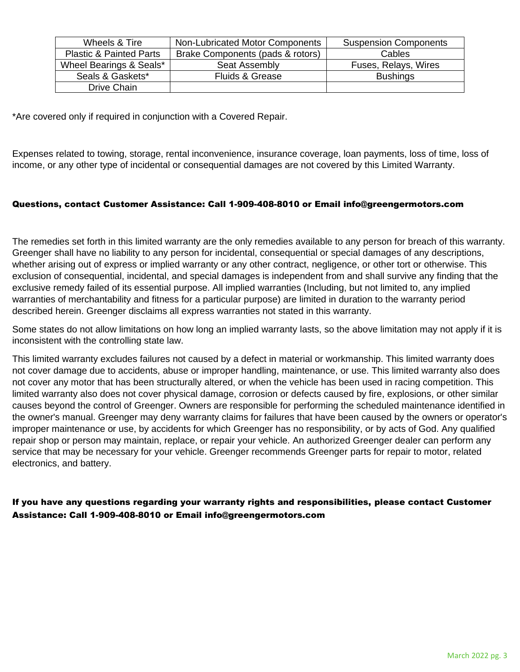| Wheels & Tire                      | Non-Lubricated Motor Components  | <b>Suspension Components</b> |
|------------------------------------|----------------------------------|------------------------------|
| <b>Plastic &amp; Painted Parts</b> | Brake Components (pads & rotors) | Cables                       |
| Wheel Bearings & Seals*            | Seat Assembly                    | Fuses, Relays, Wires         |
| Seals & Gaskets*                   | Fluids & Grease                  | <b>Bushings</b>              |
| Drive Chain                        |                                  |                              |

\*Are covered only if required in conjunction with a Covered Repair.

Expenses related to towing, storage, rental inconvenience, insurance coverage, loan payments, loss of time, loss of income, or any other type of incidental or consequential damages are not covered by this Limited Warranty.

# Questions, contact Customer Assistance: Call 1-909-408-8010 or Email info@greengermotors.com

The remedies set forth in this limited warranty are the only remedies available to any person for breach of this warranty. Greenger shall have no liability to any person for incidental, consequential or special damages of any descriptions, whether arising out of express or implied warranty or any other contract, negligence, or other tort or otherwise. This exclusion of consequential, incidental, and special damages is independent from and shall survive any finding that the exclusive remedy failed of its essential purpose. All implied warranties (Including, but not limited to, any implied warranties of merchantability and fitness for a particular purpose) are limited in duration to the warranty period described herein. Greenger disclaims all express warranties not stated in this warranty.

Some states do not allow limitations on how long an implied warranty lasts, so the above limitation may not apply if it is inconsistent with the controlling state law.

This limited warranty excludes failures not caused by a defect in material or workmanship. This limited warranty does not cover damage due to accidents, abuse or improper handling, maintenance, or use. This limited warranty also does not cover any motor that has been structurally altered, or when the vehicle has been used in racing competition. This limited warranty also does not cover physical damage, corrosion or defects caused by fire, explosions, or other similar causes beyond the control of Greenger. Owners are responsible for performing the scheduled maintenance identified in the owner's manual. Greenger may deny warranty claims for failures that have been caused by the owners or operator's improper maintenance or use, by accidents for which Greenger has no responsibility, or by acts of God. Any qualified repair shop or person may maintain, replace, or repair your vehicle. An authorized Greenger dealer can perform any service that may be necessary for your vehicle. Greenger recommends Greenger parts for repair to motor, related electronics, and battery.

If you have any questions regarding your warranty rights and responsibilities, please contact Customer Assistance: Call 1-909-408-8010 or Email info@greengermotors.com